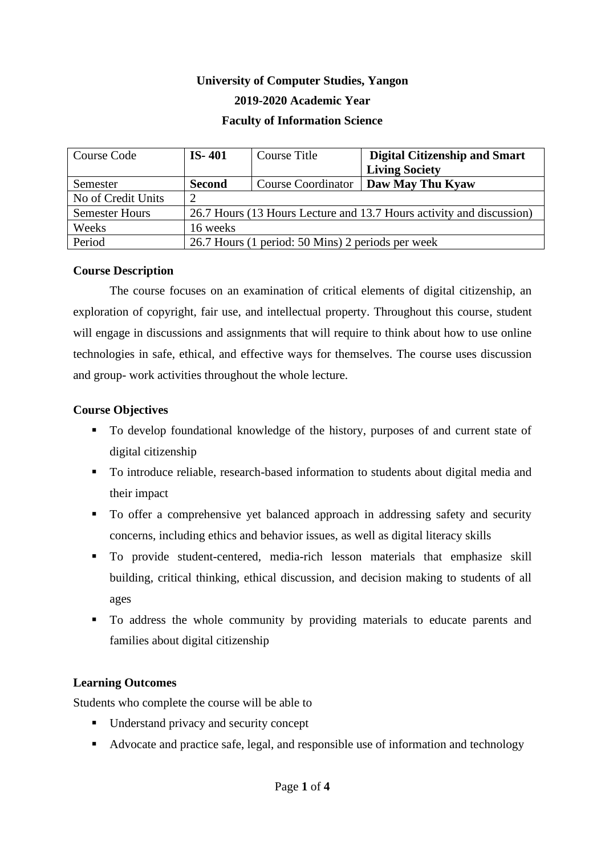# **University of Computer Studies, Yangon 2019-2020 Academic Year Faculty of Information Science**

| Course Code           | $IS-401$                                                             | Course Title              | <b>Digital Citizenship and Smart</b> |  |
|-----------------------|----------------------------------------------------------------------|---------------------------|--------------------------------------|--|
|                       |                                                                      |                           | <b>Living Society</b>                |  |
| Semester              | <b>Second</b>                                                        | <b>Course Coordinator</b> | Daw May Thu Kyaw                     |  |
| No of Credit Units    |                                                                      |                           |                                      |  |
| <b>Semester Hours</b> | 26.7 Hours (13 Hours Lecture and 13.7 Hours activity and discussion) |                           |                                      |  |
| Weeks                 | 16 weeks                                                             |                           |                                      |  |
| Period                | 26.7 Hours (1 period: 50 Mins) 2 periods per week                    |                           |                                      |  |

#### **Course Description**

The course focuses on an examination of critical elements of digital citizenship, an exploration of copyright, fair use, and intellectual property. Throughout this course, student will engage in discussions and assignments that will require to think about how to use online technologies in safe, ethical, and effective ways for themselves. The course uses discussion and group- work activities throughout the whole lecture.

#### **Course Objectives**

- To develop foundational knowledge of the history, purposes of and current state of digital citizenship
- To introduce reliable, research-based information to students about digital media and their impact
- To offer a comprehensive yet balanced approach in addressing safety and security concerns, including ethics and behavior issues, as well as digital literacy skills
- **•** To provide student-centered, media-rich lesson materials that emphasize skill building, critical thinking, ethical discussion, and decision making to students of all ages
- To address the whole community by providing materials to educate parents and families about digital citizenship

#### **Learning Outcomes**

Students who complete the course will be able to

- Understand privacy and security concept
- Advocate and practice safe, legal, and responsible use of information and technology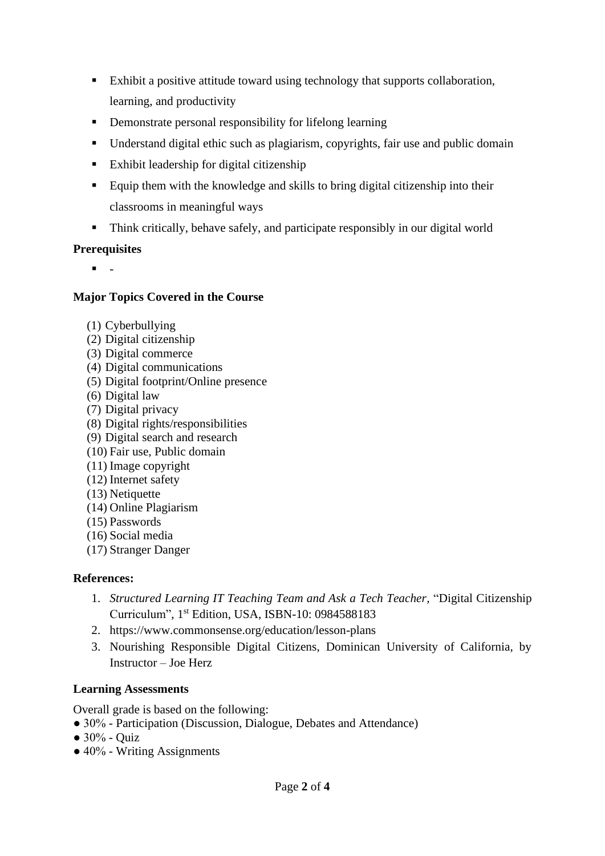- Exhibit a positive attitude toward using technology that supports collaboration, learning, and productivity
- Demonstrate personal responsibility for lifelong learning
- Understand digital ethic such as plagiarism, copyrights, fair use and public domain
- Exhibit leadership for digital citizenship
- Equip them with the knowledge and skills to bring digital citizenship into their classrooms in meaningful ways
- Think critically, behave safely, and participate responsibly in our digital world

## **Prerequisites**

▪ -

## **Major Topics Covered in the Course**

- (1) Cyberbullying
- (2) Digital citizenship
- (3) Digital commerce
- (4) Digital communications
- (5) Digital footprint/Online presence
- (6) Digital law
- (7) Digital privacy
- (8) Digital rights/responsibilities
- (9) Digital search and research
- (10) Fair use, Public domain
- (11) Image copyright
- (12) Internet safety
- (13) Netiquette
- (14) Online Plagiarism
- (15) Passwords
- (16) Social media
- (17) Stranger Danger

# **References:**

- 1. *Structured Learning IT Teaching Team and Ask a Tech Teacher*, "Digital Citizenship Curriculum", 1 st Edition, USA, ISBN-10: 0984588183
- 2. https://www.commonsense.org/education/lesson-plans
- 3. Nourishing Responsible Digital Citizens, Dominican University of California, by Instructor – Joe Herz

# **Learning Assessments**

Overall grade is based on the following:

- 30% Participation (Discussion, Dialogue, Debates and Attendance)
- $\bullet$  30% Quiz
- $\bullet$  40% Writing Assignments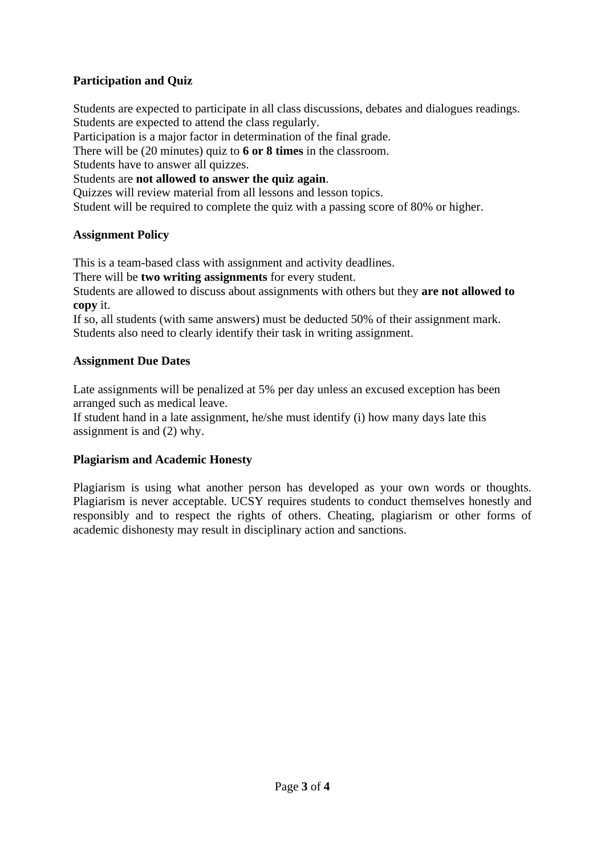# **Participation and Quiz**

Students are expected to participate in all class discussions, debates and dialogues readings. Students are expected to attend the class regularly.

Participation is a major factor in determination of the final grade.

There will be (20 minutes) quiz to **6 or 8 times** in the classroom.

Students have to answer all quizzes.

Students are **not allowed to answer the quiz again**.

Quizzes will review material from all lessons and lesson topics.

Student will be required to complete the quiz with a passing score of 80% or higher.

#### **Assignment Policy**

This is a team-based class with assignment and activity deadlines.

There will be **two writing assignments** for every student.

Students are allowed to discuss about assignments with others but they **are not allowed to copy** it.

If so, all students (with same answers) must be deducted 50% of their assignment mark. Students also need to clearly identify their task in writing assignment.

## **Assignment Due Dates**

Late assignments will be penalized at 5% per day unless an excused exception has been arranged such as medical leave.

If student hand in a late assignment, he/she must identify (i) how many days late this assignment is and (2) why.

# **Plagiarism and Academic Honesty**

Plagiarism is using what another person has developed as your own words or thoughts. Plagiarism is never acceptable. UCSY requires students to conduct themselves honestly and responsibly and to respect the rights of others. Cheating, plagiarism or other forms of academic dishonesty may result in disciplinary action and sanctions.